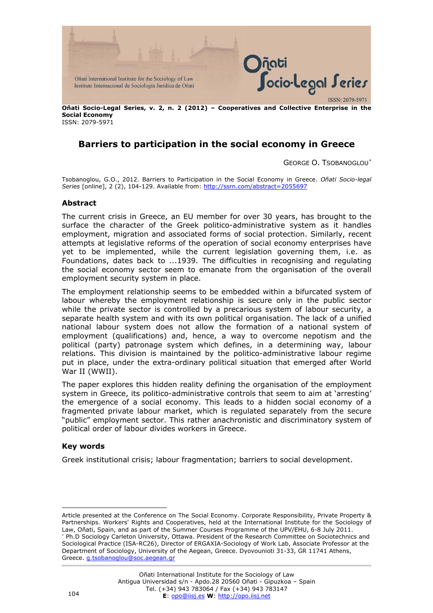

**Oñati Socio-Legal Series, v. 2, n. 2 (2012) – Cooperatives and Collective Enterprise in the Social Economy**  ISSN: 2079-5971

# **Barriers to participation in the social economy in Greece**

GEORGE O. TSOBANOGLOU[∗](#page-0-0)

Tsobanoglou, G.O., 2012. Barriers to Participation in the Social Economy in Greece. *Oñati Socio-legal Series* [online], 2 (2), 104-129. Available from: <http://ssrn.com/abstract=2055697>

#### **Abstract**

The current crisis in Greece, an EU member for over 30 years, has brought to the surface the character of the Greek politico-administrative system as it handles employment, migration and associated forms of social protection. Similarly, recent attempts at legislative reforms of the operation of social economy enterprises have yet to be implemented, while the current legislation governing them, i.e. as Foundations, dates back to ...1939. The difficulties in recognising and regulating the social economy sector seem to emanate from the organisation of the overall employment security system in place.

The employment relationship seems to be embedded within a bifurcated system of labour whereby the employment relationship is secure only in the public sector while the private sector is controlled by a precarious system of labour security, a separate health system and with its own political organisation. The lack of a unified national labour system does not allow the formation of a national system of employment (qualifications) and, hence, a way to overcome nepotism and the political (party) patronage system which defines, in a determining way, labour relations. This division is maintained by the politico-administrative labour regime put in place, under the extra-ordinary political situation that emerged after World War II (WWII).

The paper explores this hidden reality defining the organisation of the employment system in Greece, its politico-administrative controls that seem to aim at 'arresting' the emergence of a social economy. This leads to a hidden social economy of a fragmented private labour market, which is regulated separately from the secure "public" employment sector. This rather anachronistic and discriminatory system of political order of labour divides workers in Greece.

#### **Key words**

Greek institutional crisis; labour fragmentation; barriers to social development.

<span id="page-0-0"></span> $\overline{a}$ Article presented at the Conference on The Social Economy. Corporate Responsibility, Private Property & Partnerships. Workers' Rights and Cooperatives, held at the International Institute for the Sociology of Law, Oñati, Spain, and as part of the Summer Courses Programme of the UPV/EHU, 6-8 July 2011. ∗ Ph.D Sociology Carleton University, Ottawa. President of the Research Committee on Sociotechnics and Sociological Practice (ISA-RC26), Director of ERGAXIA-Sociology of Work Lab, Associate Professor at the Department of Sociology, University of the Aegean, Greece. Dyovounioti 31-33, GR 11741 Athens, Greece. [g.tsobanoglou@soc.aegean.gr](mailto:g.tsobanoglou@soc.aegean.gr)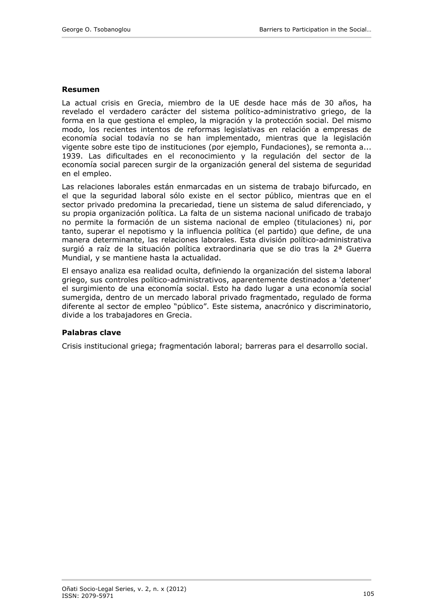#### **Resumen**

La actual crisis en Grecia, miembro de la UE desde hace más de 30 años, ha revelado el verdadero carácter del sistema político-administrativo griego, de la forma en la que gestiona el empleo, la migración y la protección social. Del mismo modo, los recientes intentos de reformas legislativas en relación a empresas de economía social todavía no se han implementado, mientras que la legislación vigente sobre este tipo de instituciones (por ejemplo, Fundaciones), se remonta a... 1939. Las dificultades en el reconocimiento y la regulación del sector de la economía social parecen surgir de la organización general del sistema de seguridad en el empleo.

Las relaciones laborales están enmarcadas en un sistema de trabajo bifurcado, en el que la seguridad laboral sólo existe en el sector público, mientras que en el sector privado predomina la precariedad, tiene un sistema de salud diferenciado, y su propia organización política. La falta de un sistema nacional unificado de trabajo no permite la formación de un sistema nacional de empleo (titulaciones) ni, por tanto, superar el nepotismo y la influencia política (el partido) que define, de una manera determinante, las relaciones laborales. Esta división político-administrativa surgió a raíz de la situación política extraordinaria que se dio tras la 2ª Guerra Mundial, y se mantiene hasta la actualidad.

El ensayo analiza esa realidad oculta, definiendo la organización del sistema laboral griego, sus controles político-administrativos, aparentemente destinados a 'detener' el surgimiento de una economía social. Esto ha dado lugar a una economía social sumergida, dentro de un mercado laboral privado fragmentado, regulado de forma diferente al sector de empleo "público". Este sistema, anacrónico y discriminatorio, divide a los trabajadores en Grecia.

#### **Palabras clave**

Crisis institucional griega; fragmentación laboral; barreras para el desarrollo social.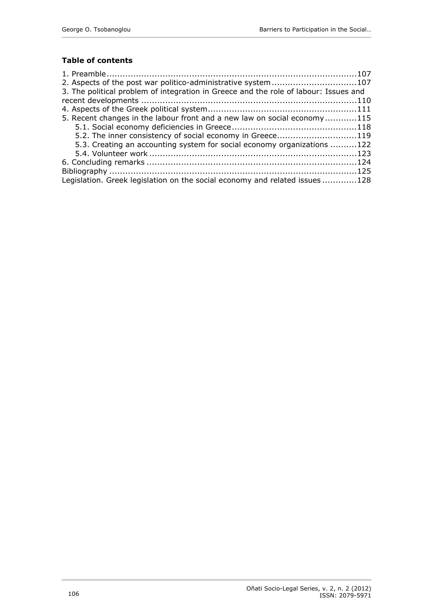## **Table of contents**

| 2. Aspects of the post war politico-administrative system 107                        |  |
|--------------------------------------------------------------------------------------|--|
| 3. The political problem of integration in Greece and the role of labour: Issues and |  |
|                                                                                      |  |
|                                                                                      |  |
| 5. Recent changes in the labour front and a new law on social economy115             |  |
|                                                                                      |  |
| 5.2. The inner consistency of social economy in Greece119                            |  |
| 5.3. Creating an accounting system for social economy organizations 122              |  |
|                                                                                      |  |
|                                                                                      |  |
|                                                                                      |  |
| Legislation. Greek legislation on the social economy and related issues 128          |  |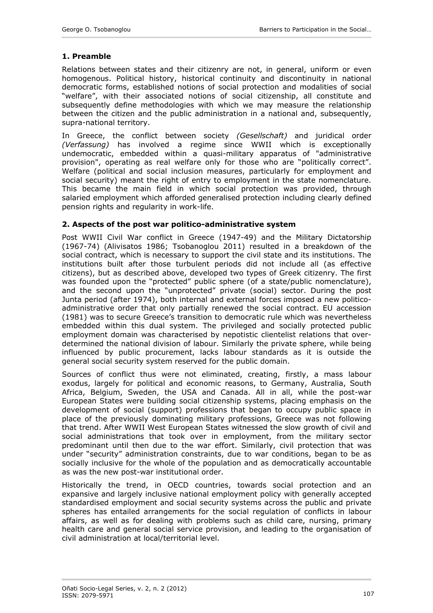## <span id="page-3-0"></span>**1. Preamble**

Relations between states and their citizenry are not, in general, uniform or even homogenous. Political history, historical continuity and discontinuity in national democratic forms, established notions of social protection and modalities of social "welfare", with their associated notions of social citizenship, all constitute and subsequently define methodologies with which we may measure the relationship between the citizen and the public administration in a national and, subsequently, supra-national territory.

In Greece, the conflict between society *(Gesellschaft)* and juridical order *(Verfassung)* has involved a regime since WWII which is exceptionally undemocratic, embedded within a quasi-military apparatus of "administrative provision", operating as real welfare only for those who are "politically correct". Welfare (political and social inclusion measures, particularly for employment and social security) meant the right of entry to employment in the state nomenclature. This became the main field in which social protection was provided, through salaried employment which afforded generalised protection including clearly defined pension rights and regularity in work-life.

### **2. Aspects of the post war politico-administrative system**

Post WWII Civil War conflict in Greece (1947-49) and the Military Dictatorship (1967-74) (Alivisatos 1986; Tsobanoglou 2011) resulted in a breakdown of the social contract, which is necessary to support the civil state and its institutions. The institutions built after those turbulent periods did not include all (as effective citizens), but as described above, developed two types of Greek citizenry. The first was founded upon the "protected" public sphere (of a state/public nomenclature), and the second upon the "unprotected" private (social) sector. During the post Junta period (after 1974), both internal and external forces imposed a new politicoadministrative order that only partially renewed the social contract. EU accession (1981) was to secure Greece's transition to democratic rule which was nevertheless embedded within this dual system. The privileged and socially protected public employment domain was characterised by nepotistic clientelist relations that overdetermined the national division of labour. Similarly the private sphere, while being influenced by public procurement, lacks labour standards as it is outside the general social security system reserved for the public domain.

Sources of conflict thus were not eliminated, creating, firstly, a mass labour exodus, largely for political and economic reasons, to Germany, Australia, South Africa, Belgium, Sweden, the USA and Canada. All in all, while the post-war European States were building social citizenship systems, placing emphasis on the development of social (support) professions that began to occupy public space in place of the previously dominating military professions, Greece was not following that trend. After WWII West European States witnessed the slow growth of civil and social administrations that took over in employment, from the military sector predominant until then due to the war effort. Similarly, civil protection that was under "security" administration constraints, due to war conditions, began to be as socially inclusive for the whole of the population and as democratically accountable as was the new post-war institutional order.

Historically the trend, in OECD countries, towards social protection and an expansive and largely inclusive national employment policy with generally accepted standardised employment and social security systems across the public and private spheres has entailed arrangements for the social regulation of conflicts in labour affairs, as well as for dealing with problems such as child care, nursing, primary health care and general social service provision, and leading to the organisation of civil administration at local/territorial level.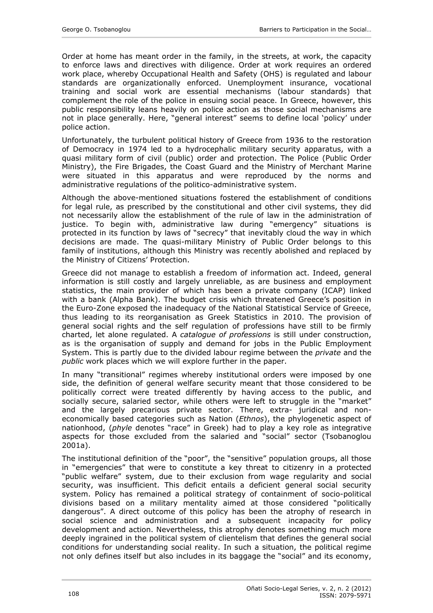Order at home has meant order in the family, in the streets, at work, the capacity to enforce laws and directives with diligence. Order at work requires an ordered work place, whereby Occupational Health and Safety (OHS) is regulated and labour standards are organizationally enforced. Unemployment insurance, vocational training and social work are essential mechanisms (labour standards) that complement the role of the police in ensuing social peace. In Greece, however, this public responsibility leans heavily on police action as those social mechanisms are not in place generally. Here, "general interest" seems to define local 'policy' under police action.

Unfortunately, the turbulent political history of Greece from 1936 to the restoration of Democracy in 1974 led to a hydrocephalic military security apparatus, with a quasi military form of civil (public) order and protection. The Police (Public Order Ministry), the Fire Brigades, the Coast Guard and the Ministry of Merchant Marine were situated in this apparatus and were reproduced by the norms and administrative regulations of the politico-administrative system.

Although the above-mentioned situations fostered the establishment of conditions for legal rule, as prescribed by the constitutional and other civil systems, they did not necessarily allow the establishment of the rule of law in the administration of justice. To begin with, administrative law during "emergency" situations is protected in its function by laws of "secrecy" that inevitably cloud the way in which decisions are made. The quasi-military Ministry of Public Order belongs to this family of institutions, although this Ministry was recently abolished and replaced by the Ministry of Citizens' Protection.

Greece did not manage to establish a freedom of information act. Indeed, general information is still costly and largely unreliable, as are business and employment statistics, the main provider of which has been a private company (ICAP) linked with a bank (Alpha Bank). The budget crisis which threatened Greece's position in the Euro-Zone exposed the inadequacy of the National Statistical Service of Greece, thus leading to its reorganisation as Greek Statistics in 2010. The provision of general social rights and the self regulation of professions have still to be firmly charted, let alone regulated. A *catalogue of professions* is still under construction, as is the organisation of supply and demand for jobs in the Public Employment System. This is partly due to the divided labour regime between the *private* and the *public* work places which we will explore further in the paper.

In many "transitional" regimes whereby institutional orders were imposed by one side, the definition of general welfare security meant that those considered to be politically correct were treated differently by having access to the public, and socially secure, salaried sector, while others were left to struggle in the "market" and the largely precarious private sector. There, extra- juridical and noneconomically based categories such as Nation (*Ethnos*), the phylogenetic aspect of nationhood, (*phyle* denotes "race" in Greek) had to play a key role as integrative aspects for those excluded from the salaried and "social" sector (Tsobanoglou 2001a).

The institutional definition of the "poor", the "sensitive" population groups, all those in "emergencies" that were to constitute a key threat to citizenry in a protected "public welfare" system, due to their exclusion from wage regularity and social security, was insufficient. This deficit entails a deficient general social security system. Policy has remained a political strategy of containment of socio-political divisions based on a military mentality aimed at those considered "politically dangerous". A direct outcome of this policy has been the atrophy of research in social science and administration and a subsequent incapacity for policy development and action. Nevertheless, this atrophy denotes something much more deeply ingrained in the political system of clientelism that defines the general social conditions for understanding social reality. In such a situation, the political regime not only defines itself but also includes in its baggage the "social" and its economy,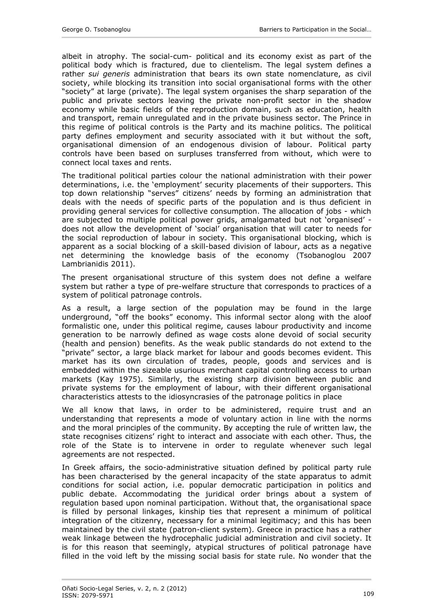albeit in atrophy. The social-cum- political and its economy exist as part of the political body which is fractured, due to clientelism. The legal system defines a rather *sui generis* administration that bears its own state nomenclature, as civil society, while blocking its transition into social organisational forms with the other "society" at large (private). The legal system organises the sharp separation of the public and private sectors leaving the private non-profit sector in the shadow economy while basic fields of the reproduction domain, such as education, health and transport, remain unregulated and in the private business sector. The Prince in this regime of political controls is the Party and its machine politics. The political party defines employment and security associated with it but without the soft, organisational dimension of an endogenous division of labour. Political party controls have been based on surpluses transferred from without, which were to connect local taxes and rents.

The traditional political parties colour the national administration with their power determinations, i.e. the 'employment' security placements of their supporters. This top down relationship "serves" citizens' needs by forming an administration that deals with the needs of specific parts of the population and is thus deficient in providing general services for collective consumption. The allocation of jobs - which are subjected to multiple political power grids, amalgamated but not 'organised' does not allow the development of 'social' organisation that will cater to needs for the social reproduction of labour in society. This organisational blocking, which is apparent as a social blocking of a skill-based division of labour, acts as a negative net determining the knowledge basis of the economy (Tsobanoglou 2007 Lambrianidis 2011).

The present organisational structure of this system does not define a welfare system but rather a type of pre-welfare structure that corresponds to practices of a system of political patronage controls.

As a result, a large section of the population may be found in the large underground, "off the books" economy. This informal sector along with the aloof formalistic one, under this political regime, causes labour productivity and income generation to be narrowly defined as wage costs alone devoid of social security (health and pension) benefits. As the weak public standards do not extend to the "private" sector, a large black market for labour and goods becomes evident. This market has its own circulation of trades, people, goods and services and is embedded within the sizeable usurious merchant capital controlling access to urban markets (Kay 1975). Similarly, the existing sharp division between public and private systems for the employment of labour, with their different organisational characteristics attests to the idiosyncrasies of the patronage politics in place

We all know that laws, in order to be administered, require trust and an understanding that represents a mode of voluntary action in line with the norms and the moral principles of the community. By accepting the rule of written law, the state recognises citizens' right to interact and associate with each other. Thus, the role of the State is to intervene in order to regulate whenever such legal agreements are not respected.

In Greek affairs, the socio-administrative situation defined by political party rule has been characterised by the general incapacity of the state apparatus to admit conditions for social action, i.e. popular democratic participation in politics and public debate. Accommodating the juridical order brings about a system of regulation based upon nominal participation. Without that, the organisational space is filled by personal linkages, kinship ties that represent a minimum of political integration of the citizenry, necessary for a minimal legitimacy; and this has been maintained by the civil state (patron-client system). Greece in practice has a rather weak linkage between the hydrocephalic judicial administration and civil society. It is for this reason that seemingly, atypical structures of political patronage have filled in the void left by the missing social basis for state rule. No wonder that the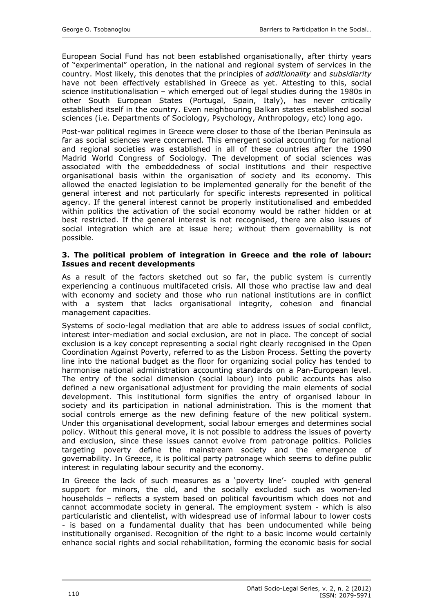<span id="page-6-0"></span>European Social Fund has not been established organisationally, after thirty years of "experimental" operation, in the national and regional system of services in the country. Most likely, this denotes that the principles of *additionality* and *subsidiarity*  have not been effectively established in Greece as yet. Attesting to this, social science institutionalisation – which emerged out of legal studies during the 1980s in other South European States (Portugal, Spain, Italy), has never critically established itself in the country. Even neighbouring Balkan states established social sciences (i.e. Departments of Sociology, Psychology, Anthropology, etc) long ago.

Post-war political regimes in Greece were closer to those of the Iberian Peninsula as far as social sciences were concerned. This emergent social accounting for national and regional societies was established in all of these countries after the 1990 Madrid World Congress of Sociology. The development of social sciences was associated with the embeddedness of social institutions and their respective organisational basis within the organisation of society and its economy. This allowed the enacted legislation to be implemented generally for the benefit of the general interest and not particularly for specific interests represented in political agency. If the general interest cannot be properly institutionalised and embedded within politics the activation of the social economy would be rather hidden or at best restricted. If the general interest is not recognised, there are also issues of social integration which are at issue here; without them governability is not possible.

#### **3. The political problem of integration in Greece and the role of labour: Issues and recent developments**

As a result of the factors sketched out so far, the public system is currently experiencing a continuous multifaceted crisis. All those who practise law and deal with economy and society and those who run national institutions are in conflict with a system that lacks organisational integrity, cohesion and financial management capacities.

Systems of socio-legal mediation that are able to address issues of social conflict, interest inter-mediation and social exclusion, are not in place. The concept of social exclusion is a key concept representing a social right clearly recognised in the Open Coordination Against Poverty, referred to as the Lisbon Process. Setting the poverty line into the national budget as the floor for organizing social policy has tended to harmonise national administration accounting standards on a Pan-European level. The entry of the social dimension (social labour) into public accounts has also defined a new organisational adjustment for providing the main elements of social development. This institutional form signifies the entry of organised labour in society and its participation in national administration. This is the moment that social controls emerge as the new defining feature of the new political system. Under this organisational development, social labour emerges and determines social policy. Without this general move, it is not possible to address the issues of poverty and exclusion, since these issues cannot evolve from patronage politics. Policies targeting poverty define the mainstream society and the emergence of governability. In Greece, it is political party patronage which seems to define public interest in regulating labour security and the economy.

In Greece the lack of such measures as a 'poverty line'- coupled with general support for minors, the old, and the socially excluded such as women-led households – reflects a system based on political favouritism which does not and cannot accommodate society in general. The employment system - which is also particularistic and clientelist, with widespread use of informal labour to lower costs - is based on a fundamental duality that has been undocumented while being institutionally organised. Recognition of the right to a basic income would certainly enhance social rights and social rehabilitation, forming the economic basis for social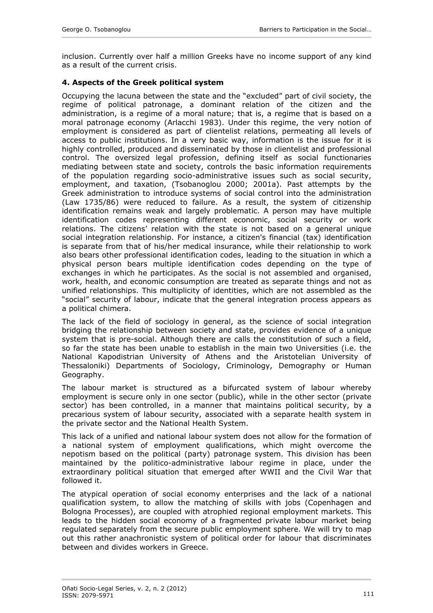<span id="page-7-0"></span>inclusion. Currently over half a million Greeks have no income support of any kind as a result of the current crisis.

## **4. Aspects of the Greek political system**

Occupying the lacuna between the state and the "excluded" part of civil society, the regime of political patronage, a dominant relation of the citizen and the administration, is a regime of a moral nature; that is, a regime that is based on a moral patronage economy (Arlacchi 1983). Under this regime, the very notion of employment is considered as part of clientelist relations, permeating all levels of access to public institutions. In a very basic way, information is the issue for it is highly controlled, produced and disseminated by those in clientelist and professional control. The oversized legal profession, defining itself as social functionaries mediating between state and society, controls the basic information requirements of the population regarding socio-administrative issues such as social security, employment, and taxation, (Tsobanoglou 2000; 2001a). Past attempts by the Greek administration to introduce systems of social control into the administration (Law 1735/86) were reduced to failure. As a result, the system of citizenship identification remains weak and largely problematic. A person may have multiple identification codes representing different economic, social security or work relations. The citizens' relation with the state is not based on a general unique social integration relationship. For instance, a citizen's financial (tax) identification is separate from that of his/her medical insurance, while their relationship to work also bears other professional identification codes, leading to the situation in which a physical person bears multiple identification codes depending on the type of exchanges in which he participates. As the social is not assembled and organised, work, health, and economic consumption are treated as separate things and not as unified relationships. This multiplicity of identities, which are not assembled as the "social" security of labour, indicate that the general integration process appears as a political chimera.

The lack of the field of sociology in general, as the science of social integration bridging the relationship between society and state, provides evidence of a unique system that is pre-social. Although there are calls the constitution of such a field, so far the state has been unable to establish in the main two Universities (i.e. the National Kapodistrian University of Athens and the Aristotelian University of Thessaloniki) Departments of Sociology, Criminology, Demography or Human Geography.

The labour market is structured as a bifurcated system of labour whereby employment is secure only in one sector (public), while in the other sector (private sector) has been controlled, in a manner that maintains political security, by a precarious system of labour security, associated with a separate health system in the private sector and the National Health System.

This lack of a unified and national labour system does not allow for the formation of a national system of employment qualifications, which might overcome the nepotism based on the political (party) patronage system. This division has been maintained by the politico-administrative labour regime in place, under the extraordinary political situation that emerged after WWII and the Civil War that followed it.

The atypical operation of social economy enterprises and the lack of a national qualification system, to allow the matching of skills with jobs (Copenhagen and Bologna Processes), are coupled with atrophied regional employment markets. This leads to the hidden social economy of a fragmented private labour market being regulated separately from the secure public employment sphere. We will try to map out this rather anachronistic system of political order for labour that discriminates between and divides workers in Greece.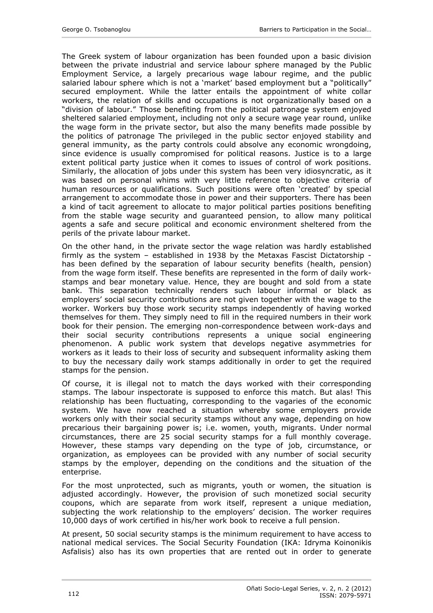The Greek system of labour organization has been founded upon a basic division between the private industrial and service labour sphere managed by the Public Employment Service, a largely precarious wage labour regime, and the public salaried labour sphere which is not a 'market' based employment but a "politically" secured employment. While the latter entails the appointment of white collar workers, the relation of skills and occupations is not organizationally based on a "division of labour." Those benefiting from the political patronage system enjoyed sheltered salaried employment, including not only a secure wage year round, unlike the wage form in the private sector, but also the many benefits made possible by the politics of patronage The privileged in the public sector enjoyed stability and general immunity, as the party controls could absolve any economic wrongdoing, since evidence is usually compromised for political reasons. Justice is to a large extent political party justice when it comes to issues of control of work positions. Similarly, the allocation of jobs under this system has been very idiosyncratic, as it was based on personal whims with very little reference to objective criteria of human resources or qualifications. Such positions were often 'created' by special arrangement to accommodate those in power and their supporters. There has been a kind of tacit agreement to allocate to major political parties positions benefiting from the stable wage security and guaranteed pension, to allow many political agents a safe and secure political and economic environment sheltered from the perils of the private labour market.

On the other hand, in the private sector the wage relation was hardly established firmly as the system – established in 1938 by the Metaxas Fascist Dictatorship has been defined by the separation of labour security benefits (health, pension) from the wage form itself. These benefits are represented in the form of daily workstamps and bear monetary value. Hence, they are bought and sold from a state bank. This separation technically renders such labour informal or black as employers' social security contributions are not given together with the wage to the worker. Workers buy those work security stamps independently of having worked themselves for them. They simply need to fill in the required numbers in their work book for their pension. The emerging non-correspondence between work-days and their social security contributions represents a unique social engineering phenomenon. A public work system that develops negative asymmetries for workers as it leads to their loss of security and subsequent informality asking them to buy the necessary daily work stamps additionally in order to get the required stamps for the pension.

Of course, it is illegal not to match the days worked with their corresponding stamps. The labour inspectorate is supposed to enforce this match. But alas! This relationship has been fluctuating, corresponding to the vagaries of the economic system. We have now reached a situation whereby some employers provide workers only with their social security stamps without any wage, depending on how precarious their bargaining power is; i.e. women, youth, migrants. Under normal circumstances, there are 25 social security stamps for a full monthly coverage. However, these stamps vary depending on the type of job, circumstance, or organization, as employees can be provided with any number of social security stamps by the employer, depending on the conditions and the situation of the enterprise.

For the most unprotected, such as migrants, youth or women, the situation is adjusted accordingly. However, the provision of such monetized social security coupons, which are separate from work itself, represent a unique mediation, subjecting the work relationship to the employers' decision. The worker requires 10,000 days of work certified in his/her work book to receive a full pension.

At present, 50 social security stamps is the minimum requirement to have access to national medical services. The Social Security Foundation (IKA: Idryma Koinonikis Asfalisis) also has its own properties that are rented out in order to generate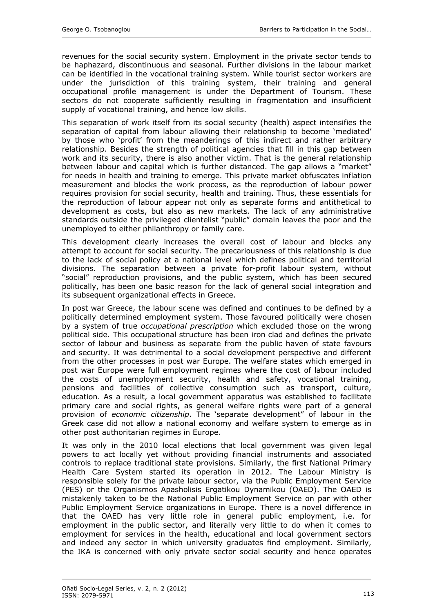revenues for the social security system. Employment in the private sector tends to be haphazard, discontinuous and seasonal. Further divisions in the labour market can be identified in the vocational training system. While tourist sector workers are under the jurisdiction of this training system, their training and general occupational profile management is under the Department of Tourism. These sectors do not cooperate sufficiently resulting in fragmentation and insufficient supply of vocational training, and hence low skills.

This separation of work itself from its social security (health) aspect intensifies the separation of capital from labour allowing their relationship to become 'mediated' by those who 'profit' from the meanderings of this indirect and rather arbitrary relationship. Besides the strength of political agencies that fill in this gap between work and its security, there is also another victim. That is the general relationship between labour and capital which is further distanced. The gap allows a "market" for needs in health and training to emerge. This private market obfuscates inflation measurement and blocks the work process, as the reproduction of labour power requires provision for social security, health and training. Thus, these essentials for the reproduction of labour appear not only as separate forms and antithetical to development as costs, but also as new markets. The lack of any administrative standards outside the privileged clientelist "public" domain leaves the poor and the unemployed to either philanthropy or family care.

This development clearly increases the overall cost of labour and blocks any attempt to account for social security. The precariousness of this relationship is due to the lack of social policy at a national level which defines political and territorial divisions. The separation between a private for-profit labour system, without "social" reproduction provisions, and the public system, which has been secured politically, has been one basic reason for the lack of general social integration and its subsequent organizational effects in Greece.

In post war Greece, the labour scene was defined and continues to be defined by a politically determined employment system. Those favoured politically were chosen by a system of true *occupational prescription* which excluded those on the wrong political side. This occupational structure has been iron clad and defines the private sector of labour and business as separate from the public haven of state favours and security. It was detrimental to a social development perspective and different from the other processes in post war Europe. The welfare states which emerged in post war Europe were full employment regimes where the cost of labour included the costs of unemployment security, health and safety, vocational training, pensions and facilities of collective consumption such as transport, culture, education. As a result, a local government apparatus was established to facilitate primary care and social rights, as general welfare rights were part of a general provision of *economic citizenship*. The 'separate development" of labour in the Greek case did not allow a national economy and welfare system to emerge as in other post authoritarian regimes in Europe.

It was only in the 2010 local elections that local government was given legal powers to act locally yet without providing financial instruments and associated controls to replace traditional state provisions. Similarly, the first National Primary Health Care System started its operation in 2012. The Labour Ministry is responsible solely for the private labour sector, via the Public Employment Service (PES) or the Organismos Apasholisis Ergatikou Dynamikou (OAED). The OAED is mistakenly taken to be the National Public Employment Service on par with other Public Employment Service organizations in Europe. There is a novel difference in that the OAED has very little role in general public employment, i.e. for employment in the public sector, and literally very little to do when it comes to employment for services in the health, educational and local government sectors and indeed any sector in which university graduates find employment. Similarly, the IKA is concerned with only private sector social security and hence operates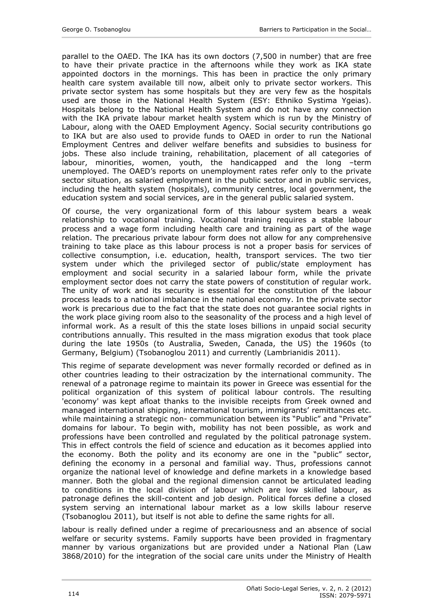parallel to the OAED. The IKA has its own doctors (7,500 in number) that are free to have their private practice in the afternoons while they work as IKA state appointed doctors in the mornings. This has been in practice the only primary health care system available till now, albeit only to private sector workers. This private sector system has some hospitals but they are very few as the hospitals used are those in the National Health System (ESY: Ethniko Systima Ygeias). Hospitals belong to the National Health System and do not have any connection with the IKA private labour market health system which is run by the Ministry of Labour, along with the OAED Employment Agency. Social security contributions go to IKA but are also used to provide funds to OAED in order to run the National Employment Centres and deliver welfare benefits and subsidies to business for jobs. These also include training, rehabilitation, placement of all categories of labour, minorities, women, youth, the handicapped and the long –term unemployed. The OAED's reports on unemployment rates refer only to the private sector situation, as salaried employment in the public sector and in public services, including the health system (hospitals), community centres, local government, the education system and social services, are in the general public salaried system.

Of course, the very organizational form of this labour system bears a weak relationship to vocational training. Vocational training requires a stable labour process and a wage form including health care and training as part of the wage relation. The precarious private labour form does not allow for any comprehensive training to take place as this labour process is not a proper basis for services of collective consumption, i.e. education, health, transport services. The two tier system under which the privileged sector of public/state employment has employment and social security in a salaried labour form, while the private employment sector does not carry the state powers of constitution of regular work. The unity of work and its security is essential for the constitution of the labour process leads to a national imbalance in the national economy. In the private sector work is precarious due to the fact that the state does not guarantee social rights in the work place giving room also to the seasonality of the process and a high level of informal work. As a result of this the state loses billions in unpaid social security contributions annually. This resulted in the mass migration exodus that took place during the late 1950s (to Australia, Sweden, Canada, the US) the 1960s (to Germany, Belgium) (Tsobanoglou 2011) and currently (Lambrianidis 2011).

This regime of separate development was never formally recorded or defined as in other countries leading to their ostracization by the international community. The renewal of a patronage regime to maintain its power in Greece was essential for the political organization of this system of political labour controls. The resulting 'economy' was kept afloat thanks to the invisible receipts from Greek owned and managed international shipping, international tourism, immigrants' remittances etc. while maintaining a strategic non- communication between its "Public" and "Private" domains for labour. To begin with, mobility has not been possible, as work and professions have been controlled and regulated by the political patronage system. This in effect controls the field of science and education as it becomes applied into the economy. Both the polity and its economy are one in the "public" sector, defining the economy in a personal and familial way. Thus, professions cannot organize the national level of knowledge and define markets in a knowledge based manner. Both the global and the regional dimension cannot be articulated leading to conditions in the local division of labour which are low skilled labour, as patronage defines the skill-content and job design. Political forces define a closed system serving an international labour market as a low skills labour reserve (Tsobanoglou 2011), but itself is not able to define the same rights for all.

labour is really defined under a regime of precariousness and an absence of social welfare or security systems. Family supports have been provided in fragmentary manner by various organizations but are provided under a National Plan (Law 3868/2010) for the integration of the social care units under the Ministry of Health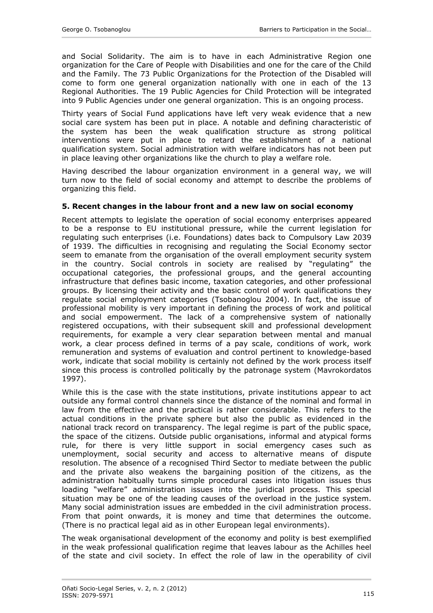<span id="page-11-0"></span>and Social Solidarity. The aim is to have in each Administrative Region one organization for the Care of People with Disabilities and one for the care of the Child and the Family. The 73 Public Organizations for the Protection of the Disabled will come to form one general organization nationally with one in each of the 13 Regional Authorities. The 19 Public Agencies for Child Protection will be integrated into 9 Public Agencies under one general organization. This is an ongoing process.

Thirty years of Social Fund applications have left very weak evidence that a new social care system has been put in place. A notable and defining characteristic of the system has been the weak qualification structure as strong political interventions were put in place to retard the establishment of a national qualification system. Social administration with welfare indicators has not been put in place leaving other organizations like the church to play a welfare role.

Having described the labour organization environment in a general way, we will turn now to the field of social economy and attempt to describe the problems of organizing this field.

### **5. Recent changes in the labour front and a new law on social economy**

Recent attempts to legislate the operation of social economy enterprises appeared to be a response to EU institutional pressure, while the current legislation for regulating such enterprises (i.e. Foundations) dates back to Compulsory Law 2039 of 1939. The difficulties in recognising and regulating the Social Economy sector seem to emanate from the organisation of the overall employment security system in the country. Social controls in society are realised by "regulating" the occupational categories, the professional groups, and the general accounting infrastructure that defines basic income, taxation categories, and other professional groups. By licensing their activity and the basic control of work qualifications they regulate social employment categories (Tsobanoglou 2004). In fact, the issue of professional mobility is very important in defining the process of work and political and social empowerment. The lack of a comprehensive system of nationally registered occupations, with their subsequent skill and professional development requirements, for example a very clear separation between mental and manual work, a clear process defined in terms of a pay scale, conditions of work, work remuneration and systems of evaluation and control pertinent to knowledge-based work, indicate that social mobility is certainly not defined by the work process itself since this process is controlled politically by the patronage system (Mavrokordatos 1997).

While this is the case with the state institutions, private institutions appear to act outside any formal control channels since the distance of the nominal and formal in law from the effective and the practical is rather considerable. This refers to the actual conditions in the private sphere but also the public as evidenced in the national track record on transparency. The legal regime is part of the public space, the space of the citizens. Outside public organisations, informal and atypical forms rule, for there is very little support in social emergency cases such as unemployment, social security and access to alternative means of dispute resolution. The absence of a recognised Third Sector to mediate between the public and the private also weakens the bargaining position of the citizens, as the administration habitually turns simple procedural cases into litigation issues thus loading "welfare" administration issues into the juridical process. This special situation may be one of the leading causes of the overload in the justice system. Many social administration issues are embedded in the civil administration process. From that point onwards, it is money and time that determines the outcome. (There is no practical legal aid as in other European legal environments).

The weak organisational development of the economy and polity is best exemplified in the weak professional qualification regime that leaves labour as the Achilles heel of the state and civil society. In effect the role of law in the operability of civil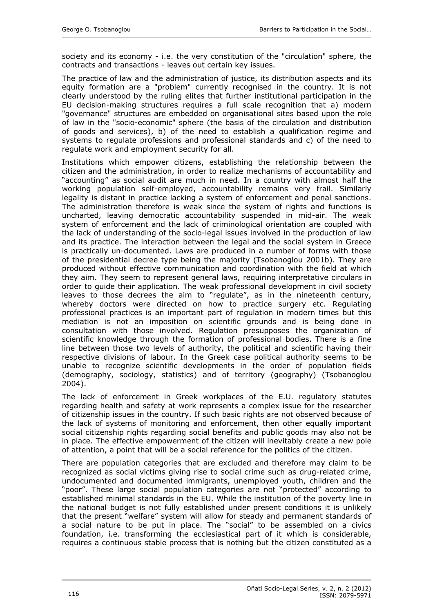society and its economy - i.e. the very constitution of the "circulation" sphere, the contracts and transactions - leaves out certain key issues.

The practice of law and the administration of justice, its distribution aspects and its equity formation are a "problem" currently recognised in the country. It is not clearly understood by the ruling elites that further institutional participation in the EU decision-making structures requires a full scale recognition that a) modern "governance" structures are embedded on organisational sites based upon the role of law in the "socio-economic" sphere (the basis of the circulation and distribution of goods and services), b) of the need to establish a qualification regime and systems to regulate professions and professional standards and c) of the need to regulate work and employment security for all.

Institutions which empower citizens, establishing the relationship between the citizen and the administration, in order to realize mechanisms of accountability and "accounting" as social audit are much in need. In a country with almost half the working population self-employed, accountability remains very frail. Similarly legality is distant in practice lacking a system of enforcement and penal sanctions. The administration therefore is weak since the system of rights and functions is uncharted, leaving democratic accountability suspended in mid-air. The weak system of enforcement and the lack of criminological orientation are coupled with the lack of understanding of the socio-legal issues involved in the production of law and its practice. The interaction between the legal and the social system in Greece is practically un-documented. Laws are produced in a number of forms with those of the presidential decree type being the majority (Tsobanoglou 2001b). They are produced without effective communication and coordination with the field at which they aim. They seem to represent general laws, requiring interpretative circulars in order to guide their application. The weak professional development in civil society leaves to those decrees the aim to "regulate", as in the nineteenth century, whereby doctors were directed on how to practice surgery etc. Regulating professional practices is an important part of regulation in modern times but this mediation is not an imposition on scientific grounds and is being done in consultation with those involved. Regulation presupposes the organization of scientific knowledge through the formation of professional bodies. There is a fine line between those two levels of authority, the political and scientific having their respective divisions of labour. In the Greek case political authority seems to be unable to recognize scientific developments in the order of population fields (demography, sociology, statistics) and of territory (geography) (Tsobanoglou 2004).

The lack of enforcement in Greek workplaces of the E.U. regulatory statutes regarding health and safety at work represents a complex issue for the researcher of citizenship issues in the country. If such basic rights are not observed because of the lack of systems of monitoring and enforcement, then other equally important social citizenship rights regarding social benefits and public goods may also not be in place. The effective empowerment of the citizen will inevitably create a new pole of attention, a point that will be a social reference for the politics of the citizen.

There are population categories that are excluded and therefore may claim to be recognized as social victims giving rise to social crime such as drug-related crime, undocumented and documented immigrants, unemployed youth, children and the "poor". These large social population categories are not "protected" according to established minimal standards in the EU. While the institution of the poverty line in the national budget is not fully established under present conditions it is unlikely that the present "welfare" system will allow for steady and permanent standards of a social nature to be put in place. The "social" to be assembled on a civics foundation, i.e. transforming the ecclesiastical part of it which is considerable, requires a continuous stable process that is nothing but the citizen constituted as a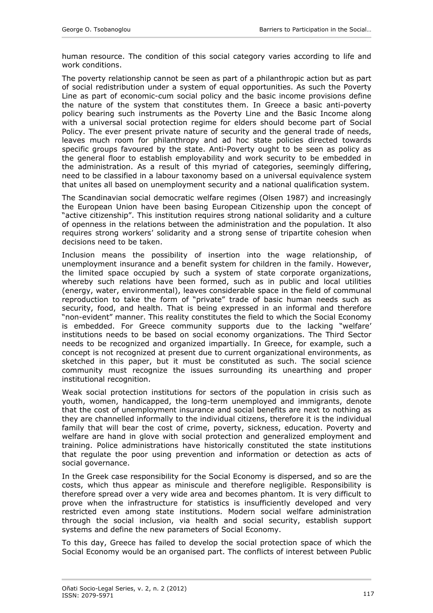human resource. The condition of this social category varies according to life and work conditions.

The poverty relationship cannot be seen as part of a philanthropic action but as part of social redistribution under a system of equal opportunities. As such the Poverty Line as part of economic-cum social policy and the basic income provisions define the nature of the system that constitutes them. In Greece a basic anti-poverty policy bearing such instruments as the Poverty Line and the Basic Income along with a universal social protection regime for elders should become part of Social Policy. The ever present private nature of security and the general trade of needs, leaves much room for philanthropy and ad hoc state policies directed towards specific groups favoured by the state. Anti-Poverty ought to be seen as policy as the general floor to establish employability and work security to be embedded in the administration. As a result of this myriad of categories, seemingly differing, need to be classified in a labour taxonomy based on a universal equivalence system that unites all based on unemployment security and a national qualification system.

The Scandinavian social democratic welfare regimes (Olsen 1987) and increasingly the European Union have been basing European Citizenship upon the concept of "active citizenship". This institution requires strong national solidarity and a culture of openness in the relations between the administration and the population. It also requires strong workers' solidarity and a strong sense of tripartite cohesion when decisions need to be taken.

Inclusion means the possibility of insertion into the wage relationship, of unemployment insurance and a benefit system for children in the family. However, the limited space occupied by such a system of state corporate organizations, whereby such relations have been formed, such as in public and local utilities (energy, water, environmental), leaves considerable space in the field of communal reproduction to take the form of "private" trade of basic human needs such as security, food, and health. That is being expressed in an informal and therefore "non-evident" manner. This reality constitutes the field to which the Social Economy is embedded. For Greece community supports due to the lacking "welfare' institutions needs to be based on social economy organizations. The Third Sector needs to be recognized and organized impartially. In Greece, for example, such a concept is not recognized at present due to current organizational environments, as sketched in this paper, but it must be constituted as such. The social science community must recognize the issues surrounding its unearthing and proper institutional recognition.

Weak social protection institutions for sectors of the population in crisis such as youth, women, handicapped, the long-term unemployed and immigrants, denote that the cost of unemployment insurance and social benefits are next to nothing as they are channelled informally to the individual citizens, therefore it is the individual family that will bear the cost of crime, poverty, sickness, education. Poverty and welfare are hand in glove with social protection and generalized employment and training. Police administrations have historically constituted the state institutions that regulate the poor using prevention and information or detection as acts of social governance.

In the Greek case responsibility for the Social Economy is dispersed, and so are the costs, which thus appear as miniscule and therefore negligible. Responsibility is therefore spread over a very wide area and becomes phantom. It is very difficult to prove when the infrastructure for statistics is insufficiently developed and very restricted even among state institutions. Modern social welfare administration through the social inclusion, via health and social security, establish support systems and define the new parameters of Social Economy.

To this day, Greece has failed to develop the social protection space of which the Social Economy would be an organised part. The conflicts of interest between Public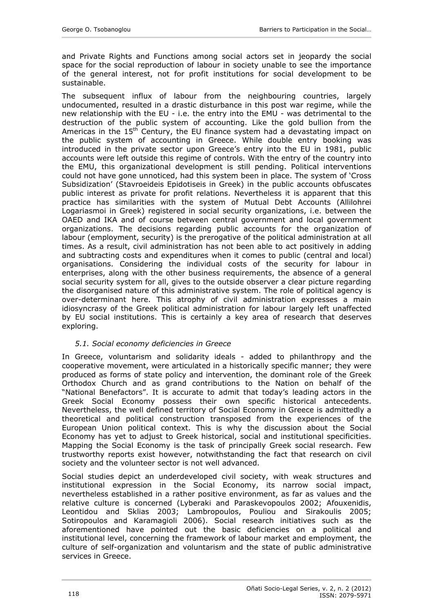<span id="page-14-0"></span>and Private Rights and Functions among social actors set in jeopardy the social space for the social reproduction of labour in society unable to see the importance of the general interest, not for profit institutions for social development to be sustainable.

The subsequent influx of labour from the neighbouring countries, largely undocumented, resulted in a drastic disturbance in this post war regime, while the new relationship with the EU - i.e. the entry into the EMU - was detrimental to the destruction of the public system of accounting. Like the gold bullion from the Americas in the  $15<sup>th</sup>$  Century, the EU finance system had a devastating impact on the public system of accounting in Greece. While double entry booking was introduced in the private sector upon Greece's entry into the EU in 1981, public accounts were left outside this regime of controls. With the entry of the country into the EMU, this organizational development is still pending. Political interventions could not have gone unnoticed, had this system been in place. The system of 'Cross Subsidization' (Stavroeideis Epidotiseis in Greek) in the public accounts obfuscates public interest as private for profit relations. Nevertheless it is apparent that this practice has similarities with the system of Mutual Debt Accounts (Allilohrei Logariasmoi in Greek) registered in social security organizations, i.e. between the OAED and IKA and of course between central government and local government organizations. The decisions regarding public accounts for the organization of labour (employment, security) is the prerogative of the political administration at all times. As a result, civil administration has not been able to act positively in adding and subtracting costs and expenditures when it comes to public (central and local) organisations. Considering the individual costs of the security for labour in enterprises, along with the other business requirements, the absence of a general social security system for all, gives to the outside observer a clear picture regarding the disorganised nature of this administrative system. The role of political agency is over-determinant here. This atrophy of civil administration expresses a main idiosyncrasy of the Greek political administration for labour largely left unaffected by EU social institutions. This is certainly a key area of research that deserves exploring.

### *5.1. Social economy deficiencies in Greece*

In Greece, voluntarism and solidarity ideals - added to philanthropy and the cooperative movement, were articulated in a historically specific manner; they were produced as forms of state policy and intervention, the dominant role of the Greek Orthodox Church and as grand contributions to the Nation on behalf of the "National Benefactors". It is accurate to admit that today's leading actors in the Greek Social Economy possess their own specific historical antecedents. Nevertheless, the well defined territory of Social Economy in Greece is admittedly a theoretical and political construction transposed from the experiences of the European Union political context. This is why the discussion about the Social Economy has yet to adjust to Greek historical, social and institutional specificities. Mapping the Social Economy is the task of principally Greek social research. Few trustworthy reports exist however, notwithstanding the fact that research on civil society and the volunteer sector is not well advanced.

Social studies depict an underdeveloped civil society, with weak structures and institutional expression in the Social Economy, its narrow social impact, nevertheless established in a rather positive environment, as far as values and the relative culture is concerned (Lyberaki and Paraskevopoulos 2002; Afouxenidis, Leontidou and Sklias 2003; Lambropoulos, Pouliou and Sirakoulis 2005; Sotiropoulos and Karamagioli 2006). Social research initiatives such as the aforementioned have pointed out the basic deficiencies on a political and institutional level, concerning the framework of labour market and employment, the culture of self-organization and voluntarism and the state of public administrative services in Greece.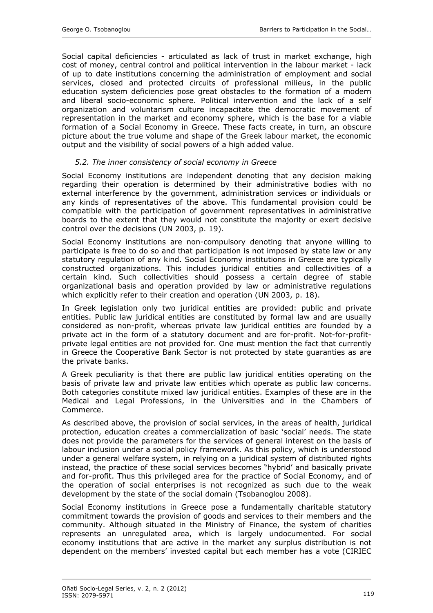<span id="page-15-0"></span>Social capital deficiencies - articulated as lack of trust in market exchange, high cost of money, central control and political intervention in the labour market - lack of up to date institutions concerning the administration of employment and social services, closed and protected circuits of professional milieus, in the public education system deficiencies pose great obstacles to the formation of a modern and liberal socio-economic sphere. Political intervention and the lack of a self organization and voluntarism culture incapacitate the democratic movement of representation in the market and economy sphere, which is the base for a viable formation of a Social Economy in Greece. These facts create, in turn, an obscure picture about the true volume and shape of the Greek labour market, the economic output and the visibility of social powers of a high added value.

### *5.2. The inner consistency of social economy in Greece*

Social Economy institutions are independent denoting that any decision making regarding their operation is determined by their administrative bodies with no external interference by the government, administration services or individuals or any kinds of representatives of the above. This fundamental provision could be compatible with the participation of government representatives in administrative boards to the extent that they would not constitute the majority or exert decisive control over the decisions (UN 2003, p. 19).

Social Economy institutions are non-compulsory denoting that anyone willing to participate is free to do so and that participation is not imposed by state law or any statutory regulation of any kind. Social Economy institutions in Greece are typically constructed organizations. This includes juridical entities and collectivities of a certain kind. Such collectivities should possess a certain degree of stable organizational basis and operation provided by law or administrative regulations which explicitly refer to their creation and operation (UN 2003, p. 18).

In Greek legislation only two juridical entities are provided: public and private entities. Public law juridical entities are constituted by formal law and are usually considered as non-profit, whereas private law juridical entities are founded by a private act in the form of a statutory document and are for-profit. Not-for-profitprivate legal entities are not provided for. One must mention the fact that currently in Greece the Cooperative Bank Sector is not protected by state guaranties as are the private banks.

A Greek peculiarity is that there are public law juridical entities operating on the basis of private law and private law entities which operate as public law concerns. Both categories constitute mixed law juridical entities. Examples of these are in the Medical and Legal Professions, in the Universities and in the Chambers of Commerce.

As described above, the provision of social services, in the areas of health, juridical protection, education creates a commercialization of basic 'social' needs. The state does not provide the parameters for the services of general interest on the basis of labour inclusion under a social policy framework. As this policy, which is understood under a general welfare system, in relying on a juridical system of distributed rights instead, the practice of these social services becomes "hybrid' and basically private and for-profit. Thus this privileged area for the practice of Social Economy, and of the operation of social enterprises is not recognized as such due to the weak development by the state of the social domain (Tsobanoglou 2008).

Social Economy institutions in Greece pose a fundamentally charitable statutory commitment towards the provision of goods and services to their members and the community. Although situated in the Ministry of Finance, the system of charities represents an unregulated area, which is largely undocumented. For social economy institutions that are active in the market any surplus distribution is not dependent on the members' invested capital but each member has a vote (CIRIEC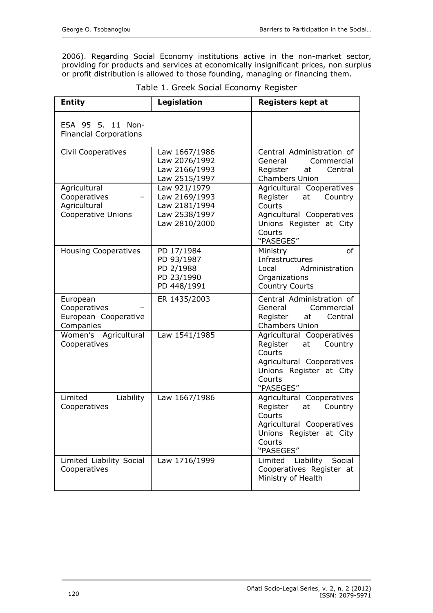2006). Regarding Social Economy institutions active in the non-market sector, providing for products and services at economically insignificant prices, non surplus or profit distribution is allowed to those founding, managing or financing them.

| <b>Entity</b>                                                             | Legislation                                                                      | <b>Registers kept at</b>                                                                                                                           |
|---------------------------------------------------------------------------|----------------------------------------------------------------------------------|----------------------------------------------------------------------------------------------------------------------------------------------------|
| ESA 95 S. 11 Non-<br><b>Financial Corporations</b>                        |                                                                                  |                                                                                                                                                    |
| Civil Cooperatives                                                        | Law 1667/1986<br>Law 2076/1992<br>Law 2166/1993<br>Law 2515/1997                 | Central Administration of<br>General<br>Commercial<br>Register<br>at Central<br><b>Chambers Union</b>                                              |
| Agricultural<br>Cooperatives<br>Agricultural<br><b>Cooperative Unions</b> | Law 921/1979<br>Law 2169/1993<br>Law 2181/1994<br>Law 2538/1997<br>Law 2810/2000 | Agricultural Cooperatives<br>Register<br>Country<br>at<br>Courts<br>Agricultural Cooperatives<br>Unions Register at City<br>Courts<br>"PASEGES"    |
| <b>Housing Cooperatives</b>                                               | PD 17/1984<br>PD 93/1987<br>PD 2/1988<br>PD 23/1990<br>PD 448/1991               | of<br>Ministry<br>Infrastructures<br>Administration<br>Local<br>Organizations<br><b>Country Courts</b>                                             |
| European<br>Cooperatives<br>European Cooperative<br>Companies             | ER 1435/2003                                                                     | Central Administration of<br>General<br>Commercial<br>Register<br>at<br>Central<br><b>Chambers Union</b>                                           |
| Women's Agricultural<br>Cooperatives                                      | Law 1541/1985                                                                    | Agricultural Cooperatives<br>Register<br>Country<br>at<br>Courts<br>Agricultural Cooperatives<br>Unions Register at City<br>Courts<br>"PASEGES"    |
| Limited<br>Liability<br>Cooperatives                                      | Law 1667/1986                                                                    | Agricultural Cooperatives<br>Register<br>at<br>Country<br>Courts<br>Agricultural Cooperatives<br>Unions<br>Register at City<br>Courts<br>"PASEGES" |
| Limited Liability Social<br>Cooperatives                                  | Law 1716/1999                                                                    | Liability<br>Limited<br>Social<br>Cooperatives Register at<br>Ministry of Health                                                                   |

| Table 1. Greek Social Economy Register |  |  |  |  |  |
|----------------------------------------|--|--|--|--|--|
|----------------------------------------|--|--|--|--|--|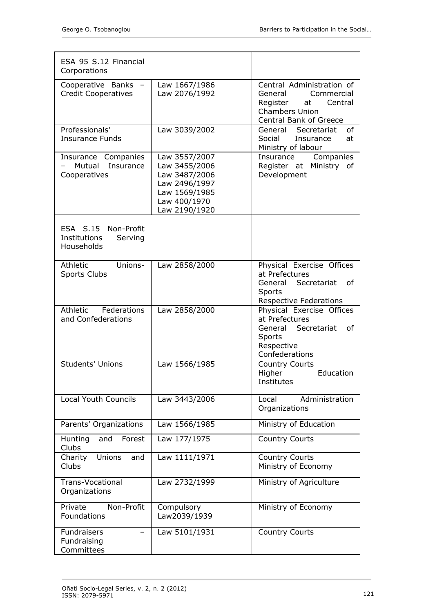| ESA 95 S.12 Financial<br>Corporations                        |                                                                                                                    |                                                                                                                                    |
|--------------------------------------------------------------|--------------------------------------------------------------------------------------------------------------------|------------------------------------------------------------------------------------------------------------------------------------|
| Cooperative Banks<br><b>Credit Cooperatives</b>              | Law 1667/1986<br>Law 2076/1992                                                                                     | Central Administration of<br>General<br>Commercial<br>Register<br>Central<br>at<br><b>Chambers Union</b><br>Central Bank of Greece |
| Professionals'<br><b>Insurance Funds</b>                     | Law 3039/2002                                                                                                      | Secretariat<br>of<br>General<br>Social<br>Insurance<br>at<br>Ministry of labour                                                    |
| Insurance Companies<br>Insurance<br>Mutual<br>Cooperatives   | Law 3557/2007<br>Law 3455/2006<br>Law 3487/2006<br>Law 2496/1997<br>Law 1569/1985<br>Law 400/1970<br>Law 2190/1920 | Companies<br>Insurance<br>Register at Ministry of<br>Development                                                                   |
| ESA S.15 Non-Profit<br>Institutions<br>Serving<br>Households |                                                                                                                    |                                                                                                                                    |
| Unions-<br><b>Athletic</b><br>Sports Clubs                   | Law 2858/2000                                                                                                      | Physical Exercise Offices<br>at Prefectures<br>General Secretariat<br>0f<br>Sports<br><b>Respective Federations</b>                |
| Athletic Federations<br>and Confederations                   | Law 2858/2000                                                                                                      | Physical Exercise Offices<br>at Prefectures<br>General Secretariat<br>0f<br>Sports<br>Respective<br>Confederations                 |
| Students' Unions                                             | Law 1566/1985                                                                                                      | <b>Country Courts</b><br>Higher<br>Education<br>Institutes                                                                         |
| <b>Local Youth Councils</b>                                  | Law 3443/2006                                                                                                      | Administration<br>Local<br>Organizations                                                                                           |
| Parents' Organizations                                       | Law 1566/1985                                                                                                      | Ministry of Education                                                                                                              |
| Forest<br><b>Hunting</b><br>and<br>Clubs                     | Law 177/1975                                                                                                       | <b>Country Courts</b>                                                                                                              |
| Charity<br><b>Unions</b><br>and<br>Clubs                     | Law 1111/1971                                                                                                      | <b>Country Courts</b><br>Ministry of Economy                                                                                       |
| <b>Trans-Vocational</b><br>Organizations                     | Law 2732/1999                                                                                                      | Ministry of Agriculture                                                                                                            |
| Non-Profit<br>Private<br>Foundations                         | Compulsory<br>Law2039/1939                                                                                         | Ministry of Economy                                                                                                                |
| <b>Fundraisers</b><br>Fundraising<br>Committees              | Law 5101/1931                                                                                                      | <b>Country Courts</b>                                                                                                              |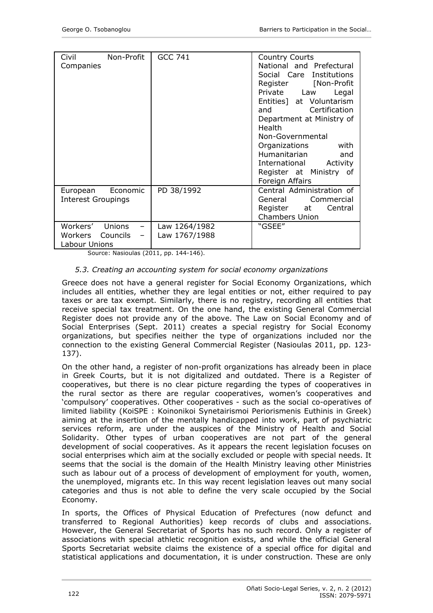<span id="page-18-0"></span>

| Non-Profit<br>Civil<br>Companies                                  | <b>GCC 741</b>                 | <b>Country Courts</b><br>National and Prefectural<br>Social Care Institutions<br>Register [Non-Profit]<br>Private Law<br>Legal<br>Entities] at Voluntarism<br>Certification<br>and<br>Department at Ministry of<br>Health<br>Non-Governmental<br>Organizations<br>with<br>Humanitarian<br>and<br>International<br>Activity<br>Register at Ministry of<br>Foreign Affairs |
|-------------------------------------------------------------------|--------------------------------|--------------------------------------------------------------------------------------------------------------------------------------------------------------------------------------------------------------------------------------------------------------------------------------------------------------------------------------------------------------------------|
| Economic<br>European<br><b>Interest Groupings</b>                 | PD 38/1992                     | Central Administration of<br>General<br>Commercial<br>Register at<br>Central<br><b>Chambers Union</b>                                                                                                                                                                                                                                                                    |
| Workers'<br><b>Unions</b><br>Workers<br>Councils<br>Labour Unions | Law 1264/1982<br>Law 1767/1988 | "GSEE"                                                                                                                                                                                                                                                                                                                                                                   |

Source: Nasioulas (2011, pp. 144-146).

### *5.3. Creating an accounting system for social economy organizations*

Greece does not have a general register for Social Economy Organizations, which includes all entities, whether they are legal entities or not, either required to pay taxes or are tax exempt. Similarly, there is no registry, recording all entities that receive special tax treatment. On the one hand, the existing General Commercial Register does not provide any of the above. The Law on Social Economy and of Social Enterprises (Sept. 2011) creates a special registry for Social Economy organizations, but specifies neither the type of organizations included nor the connection to the existing General Commercial Register (Nasioulas 2011, pp. 123- 137).

On the other hand, a register of non-profit organizations has already been in place in Greek Courts, but it is not digitalized and outdated. There is a Register of cooperatives, but there is no clear picture regarding the types of cooperatives in the rural sector as there are regular cooperatives, women's cooperatives and 'compulsory' cooperatives. Other cooperatives - such as the social co-operatives of limited liability (KoiSPE : Koinonikoi Synetairismoi Periorismenis Euthinis in Greek) aiming at the insertion of the mentally handicapped into work, part of psychiatric services reform, are under the auspices of the Ministry of Health and Social Solidarity. Other types of urban cooperatives are not part of the general development of social cooperatives. As it appears the recent legislation focuses on social enterprises which aim at the socially excluded or people with special needs. It seems that the social is the domain of the Health Ministry leaving other Ministries such as labour out of a process of development of employment for youth, women, the unemployed, migrants etc. In this way recent legislation leaves out many social categories and thus is not able to define the very scale occupied by the Social Economy.

In sports, the Offices of Physical Education of Prefectures (now defunct and transferred to Regional Authorities) keep records of clubs and associations. However, the General Secretariat of Sports has no such record. Only a register of associations with special athletic recognition exists, and while the official General Sports Secretariat website claims the existence of a special office for digital and statistical applications and documentation, it is under construction. These are only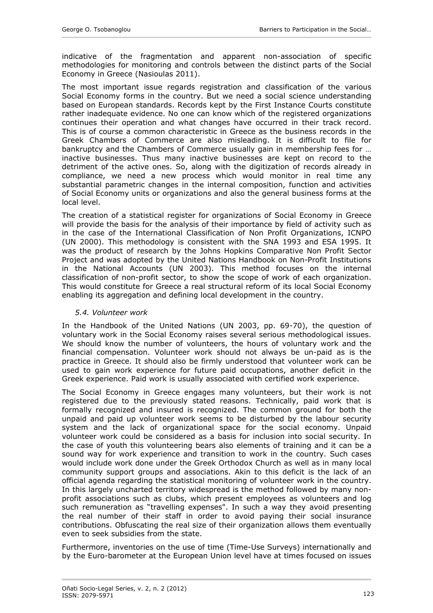<span id="page-19-0"></span>indicative of the fragmentation and apparent non-association of specific methodologies for monitoring and controls between the distinct parts of the Social Economy in Greece (Nasioulas 2011).

The most important issue regards registration and classification of the various Social Economy forms in the country. But we need a social science understanding based on European standards. Records kept by the First Instance Courts constitute rather inadequate evidence. No one can know which of the registered organizations continues their operation and what changes have occurred in their track record. This is of course a common characteristic in Greece as the business records in the Greek Chambers of Commerce are also misleading. It is difficult to file for bankruptcy and the Chambers of Commerce usually gain in membership fees for … inactive businesses. Thus many inactive businesses are kept on record to the detriment of the active ones. So, along with the digitization of records already in compliance, we need a new process which would monitor in real time any substantial parametric changes in the internal composition, function and activities of Social Economy units or organizations and also the general business forms at the local level.

The creation of a statistical register for organizations of Social Economy in Greece will provide the basis for the analysis of their importance by field of activity such as in the case of the International Classification of Non Profit Organizations, ICNPO (UN 2000). This methodology is consistent with the SNA 1993 and ESA 1995. It was the product of research by the Johns Hopkins Comparative Non Profit Sector Project and was adopted by the United Nations Handbook on Non-Profit Institutions in the National Accounts (UN 2003). This method focuses on the internal classification of non-profit sector, to show the scope of work of each organization. This would constitute for Greece a real structural reform of its local Social Economy enabling its aggregation and defining local development in the country.

### *5.4. Volunteer work*

In the Handbook of the United Nations (UN 2003, pp. 69-70), the question of voluntary work in the Social Economy raises several serious methodological issues. We should know the number of volunteers, the hours of voluntary work and the financial compensation. Volunteer work should not always be un-paid as is the practice in Greece. It should also be firmly understood that volunteer work can be used to gain work experience for future paid occupations, another deficit in the Greek experience. Paid work is usually associated with certified work experience.

The Social Economy in Greece engages many volunteers, but their work is not registered due to the previously stated reasons. Technically, paid work that is formally recognized and insured is recognized. The common ground for both the unpaid and paid up volunteer work seems to be disturbed by the labour security system and the lack of organizational space for the social economy. Unpaid volunteer work could be considered as a basis for inclusion into social security. In the case of youth this volunteering bears also elements of training and it can be a sound way for work experience and transition to work in the country. Such cases would include work done under the Greek Orthodox Church as well as in many local community support groups and associations. Akin to this deficit is the lack of an official agenda regarding the statistical monitoring of volunteer work in the country. In this largely uncharted territory widespread is the method followed by many nonprofit associations such as clubs, which present employees as volunteers and log such remuneration as "travelling expenses". In such a way they avoid presenting the real number of their staff in order to avoid paying their social insurance contributions. Obfuscating the real size of their organization allows them eventually even to seek subsidies from the state.

Furthermore, inventories on the use of time (Time-Use Surveys) internationally and by the Euro-barometer at the European Union level have at times focused on issues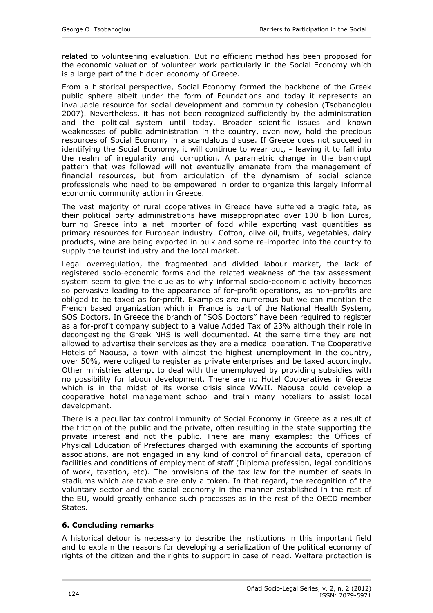<span id="page-20-0"></span>related to volunteering evaluation. But no efficient method has been proposed for the economic valuation of volunteer work particularly in the Social Economy which is a large part of the hidden economy of Greece.

From a historical perspective, Social Economy formed the backbone of the Greek public sphere albeit under the form of Foundations and today it represents an invaluable resource for social development and community cohesion (Tsobanoglou 2007). Nevertheless, it has not been recognized sufficiently by the administration and the political system until today. Broader scientific issues and known weaknesses of public administration in the country, even now, hold the precious resources of Social Economy in a scandalous disuse. If Greece does not succeed in identifying the Social Economy, it will continue to wear out, - leaving it to fall into the realm of irregularity and corruption. A parametric change in the bankrupt pattern that was followed will not eventually emanate from the management of financial resources, but from articulation of the dynamism of social science professionals who need to be empowered in order to organize this largely informal economic community action in Greece.

The vast majority of rural cooperatives in Greece have suffered a tragic fate, as their political party administrations have misappropriated over 100 billion Euros, turning Greece into a net importer of food while exporting vast quantities as primary resources for European industry. Cotton, olive oil, fruits, vegetables, dairy products, wine are being exported in bulk and some re-imported into the country to supply the tourist industry and the local market.

Legal overregulation, the fragmented and divided labour market, the lack of registered socio-economic forms and the related weakness of the tax assessment system seem to give the clue as to why informal socio-economic activity becomes so pervasive leading to the appearance of for-profit operations, as non-profits are obliged to be taxed as for-profit. Examples are numerous but we can mention the French based organization which in France is part of the National Health System, SOS Doctors. In Greece the branch of "SOS Doctors" have been required to register as a for-profit company subject to a Value Added Tax of 23% although their role in decongesting the Greek NHS is well documented. At the same time they are not allowed to advertise their services as they are a medical operation. The Cooperative Hotels of Naousa, a town with almost the highest unemployment in the country, over 50%, were obliged to register as private enterprises and be taxed accordingly. Other ministries attempt to deal with the unemployed by providing subsidies with no possibility for labour development. There are no Hotel Cooperatives in Greece which is in the midst of its worse crisis since WWII. Naousa could develop a cooperative hotel management school and train many hoteliers to assist local development.

There is a peculiar tax control immunity of Social Economy in Greece as a result of the friction of the public and the private, often resulting in the state supporting the private interest and not the public. There are many examples: the Offices of Physical Education of Prefectures charged with examining the accounts of sporting associations, are not engaged in any kind of control of financial data, operation of facilities and conditions of employment of staff (Diploma profession, legal conditions of work, taxation, etc). The provisions of the tax law for the number of seats in stadiums which are taxable are only a token. In that regard, the recognition of the voluntary sector and the social economy in the manner established in the rest of the EU, would greatly enhance such processes as in the rest of the OECD member **States** 

## **6. Concluding remarks**

A historical detour is necessary to describe the institutions in this important field and to explain the reasons for developing a serialization of the political economy of rights of the citizen and the rights to support in case of need. Welfare protection is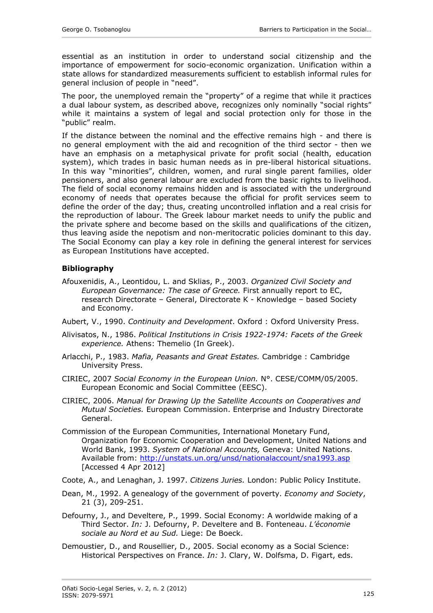<span id="page-21-0"></span>essential as an institution in order to understand social citizenship and the importance of empowerment for socio-economic organization. Unification within a state allows for standardized measurements sufficient to establish informal rules for general inclusion of people in "need".

The poor, the unemployed remain the "property" of a regime that while it practices a dual labour system, as described above, recognizes only nominally "social rights" while it maintains a system of legal and social protection only for those in the "public" realm.

If the distance between the nominal and the effective remains high - and there is no general employment with the aid and recognition of the third sector - then we have an emphasis on a metaphysical private for profit social (health, education system), which trades in basic human needs as in pre-liberal historical situations. In this way "minorities", children, women, and rural single parent families, older pensioners, and also general labour are excluded from the basic rights to livelihood. The field of social economy remains hidden and is associated with the underground economy of needs that operates because the official for profit services seem to define the order of the day; thus, creating uncontrolled inflation and a real crisis for the reproduction of labour. The Greek labour market needs to unify the public and the private sphere and become based on the skills and qualifications of the citizen, thus leaving aside the nepotism and non-meritocratic policies dominant to this day. The Social Economy can play a key role in defining the general interest for services as European Institutions have accepted.

## **Bibliography**

- Afouxenidis, A., Leontidou, L. and Sklias, P., 2003. *Organized Civil Society and European Governance: The case of Greece.* First annually report to EC, research Directorate – General, Directorate K - Knowledge – based Society and Economy.
- Aubert, V., 1990. *Continuity and Development*. Oxford : Oxford University Press.
- Alivisatos, N., 1986. *Political Institutions in Crisis 1922-1974: Facets of the Greek experience.* Athens: Themelio (In Greek).
- Arlacchi, P., 1983. *Mafia, Peasants and Great Estates.* Cambridge : Cambridge University Press.
- CIRIEC, 2007 *Social Economy in the European Union.* N°. CESE/COMM/05/2005. European Economic and Social Committee (EESC).
- CIRIEC, 2006. *Manual for Drawing Up the Satellite Accounts on Cooperatives and Mutual Societies.* European Commission. Enterprise and Industry Directorate General.
- Commission of the European Communities, International Monetary Fund, Organization for Economic Cooperation and Development, United Nations and World Bank, 1993. *System of National Accounts,* Geneva: United Nations. Available from:<http://unstats.un.org/unsd/nationalaccount/sna1993.asp> [Accessed 4 Apr 2012]
- Coote, A., and Lenaghan, J. 1997. *Citizens Juries.* London: Public Policy Institute.
- Dean, M., 1992. A genealogy of the government of poverty. *Economy and Society*, 21 (3), 209-251.
- Defourny, J., and Develtere, P., 1999. Social Economy: A worldwide making of a Third Sector. *In:* J. Defourny, P. Develtere and B. Fonteneau. *L'économie sociale au Nord et au Sud.* Liege: De Boeck.
- Demoustier, D., and Rousellier, D., 2005. Social economy as a Social Science: Historical Perspectives on France. *In:* J. Clary, W. Dolfsma, D. Figart, eds.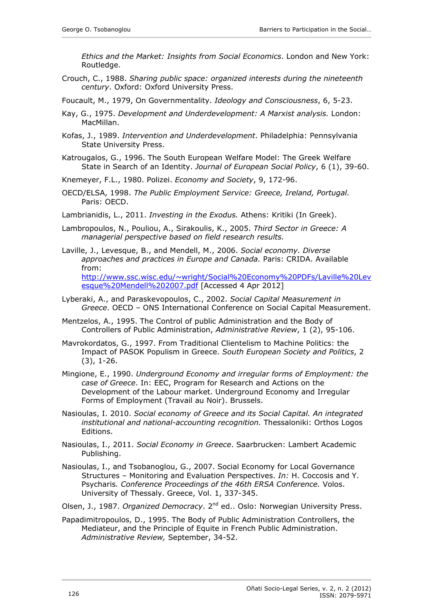*Ethics and the Market: Insights from Social Economics*. London and New York: Routledge.

Crouch, C., 1988. *Sharing public space: organized interests during the nineteenth century*. Oxford: Oxford University Press.

Foucault, M., 1979, On Governmentality. *Ideology and Consciousness*, 6, 5-23.

- Kay, G., 1975. *Development and Underdevelopment: A Marxist analysis.* London: MacMillan.
- Kofas, J., 1989. *Intervention and Underdevelopment*. Philadelphia: Pennsylvania State University Press.
- Katrougalos, G., 1996. The South European Welfare Model: The Greek Welfare State in Search of an Identity. *Journal of European Social Policy*, 6 (1), 39-60.
- Knemeyer, F.L., 1980. Polizei. *Economy and Society*, 9, 172-96.
- OECD/ELSA, 1998. *The Public Employment Service: Greece, Ireland, Portugal.* Paris: OECD.
- Lambrianidis, L., 2011. *Investing in the Exodus.* Athens: Kritiki (In Greek).
- Lambropoulos, N., Pouliou, A., Sirakoulis, K., 2005. *Third Sector in Greece: A managerial perspective based on field research results.*
- Laville, J., Levesque, B., and Mendell, M., 2006. *Social economy. Diverse approaches and practices in Europe and Canada.* Paris: CRIDA. Available from: [http://www.ssc.wisc.edu/~wright/Social%20Economy%20PDFs/Laville%20Lev](http://www.ssc.wisc.edu/%7Ewright/Social%20Economy%20PDFs/Laville%20Levesque%20Mendell%202007.pdf) [esque%20Mendell%202007.pdf](http://www.ssc.wisc.edu/%7Ewright/Social%20Economy%20PDFs/Laville%20Levesque%20Mendell%202007.pdf) [Accessed 4 Apr 2012]
- Lyberaki, A., and Paraskevopoulos, C., 2002. *Social Capital Measurement in Greece*. OECD – ONS International Conference on Social Capital Measurement.
- Mentzelos, A., 1995. The Control of public Administration and the Body of Controllers of Public Administration, *Administrative Review*, 1 (2), 95-106.
- Mavrokordatos, G., 1997. From Traditional Clientelism to Machine Politics: the Impact of PASOK Populism in Greece. *South European Society and Politics*, 2 (3), 1-26.
- Mingione, E., 1990. *Underground Economy and irregular forms of Employment: the case of Greece*. In: EEC, Program for Research and Actions on the Development of the Labour market. Underground Economy and Irregular Forms of Employment (Travail au Noir). Brussels.
- Nasioulas, I. 2010. *Social economy of Greece and its Social Capital. An integrated institutional and national-accounting recognition.* Thessaloniki: Orthos Logos Editions.
- Nasioulas, I., 2011. *Social Economy in Greece*. Saarbrucken: Lambert Academic Publishing.
- Nasioulas, I., and Tsobanoglou, G., 2007. Social Economy for Local Governance Structures – Monitoring and Evaluation Perspectives. *In:* H. Coccosis and Y. Psycharis*. Conference Proceedings of the 46th ERSA Conference.* Volos. University of Thessaly. Greece, Vol. 1, 337-345.

Olsen, J., 1987. *Organized Democracy*. 2<sup>nd</sup> ed.. Oslo: Norwegian University Press.

Papadimitropoulos, D., 1995. The Body of Public Administration Controllers, the Mediateur, and the Principle of Equite in French Public Administration. *Administrative Review,* September, 34-52.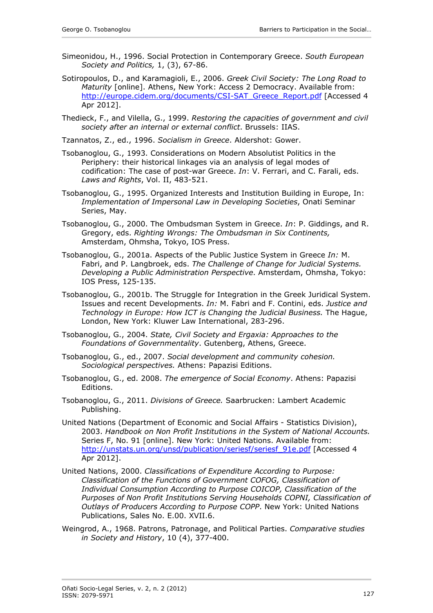- Simeonidou, H., 1996. Social Protection in Contemporary Greece. *South European Society and Politics,* 1, (3), 67-86.
- Sotiropoulos, D., and Karamagioli, E., 2006. *Greek Civil Society: The Long Road to Maturity* [online]. Athens, New York: Access 2 Democracy. Available from: [http://europe.cidem.org/documents/CSI-SAT\\_Greece\\_Report.pdf](http://europe.cidem.org/documents/CSI-SAT_Greece_Report.pdf) [Accessed 4 Apr 2012].
- Thedieck, F., and Vilella, G., 1999. *Restoring the capacities of government and civil society after an internal or external conflict*. Brussels: IIAS.

Tzannatos, Z., ed., 1996. *Socialism in Greece*. Aldershot: Gower.

- Tsobanoglou, G., 1993. Considerations on Modern Absolutist Politics in the Periphery: their historical linkages via an analysis of legal modes of codification: The case of post-war Greece. *In*: V. Ferrari, and C. Farali, eds. *Laws and Rights*, Vol. II, 483-521.
- Tsobanoglou, G., 1995. Organized Interests and Institution Building in Europe, In: *Implementation of Impersonal Law in Developing Societies*, Onati Seminar Series, May.
- Tsobanoglou, G., 2000. The Ombudsman System in Greece. *In*: P. Giddings, and R. Gregory, eds. *Righting Wrongs: The Ombudsman in Six Continents,* Amsterdam, Ohmsha, Tokyo, IOS Press.
- Tsobanoglou, G., 2001a. Aspects of the Public Justice System in Greece *In:* M. Fabri, and P. Langbroek, eds. *The Challenge of Change for Judicial Systems. Developing a Public Administration Perspective*. Amsterdam, Ohmsha, Tokyo: IOS Press, 125-135.
- Tsobanoglou, G., 2001b. The Struggle for Integration in the Greek Juridical System. Issues and recent Developments. *In:* M. Fabri and F. Contini, eds. *Justice and Technology in Europe: How ICT is Changing the Judicial Business.* The Hague, London, New York: Kluwer Law International, 283-296.
- Tsobanoglou, G., 2004. *State, Civil Society and Ergaxia: Approaches to the Foundations of Governmentality*. Gutenberg, Athens, Greece.
- Tsobanoglou, G., ed., 2007. *Social development and community cohesion. Sociological perspectives.* Athens: Papazisi Editions.
- Tsobanoglou, G., ed. 2008. *The emergence of Social Economy*. Athens: Papazisi Editions.
- Tsobanoglou, G., 2011. *Divisions of Greece.* Saarbrucken: Lambert Academic Publishing.
- United Nations (Department of Economic and Social Affairs Statistics Division), 2003. *Handbook on Non Profit Institutions in the System of National Accounts.* Series F, No. 91 [online]. New York: United Nations. Available from: http://unstats.un.org/unsd/publication/seriesf/seriesf 91e.pdf [Accessed 4 Apr 2012].
- United Nations, 2000. *Classifications of Expenditure According to Purpose: Classification of the Functions of Government COFOG, Classification of Individual Consumption According to Purpose COICOP, Classification of the Purposes of Non Profit Institutions Serving Households COPNI, Classification of Outlays of Producers According to Purpose COPP*. New York: United Nations Publications, Sales No. E.00. XVII.6.
- Weingrod, A., 1968. Patrons, Patronage, and Political Parties. *Comparative studies in Society and History*, 10 (4), 377-400.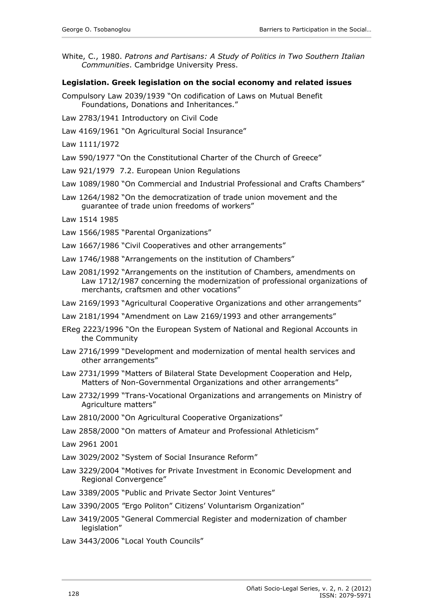<span id="page-24-0"></span>White, C., 1980. *Patrons and Partisans: A Study of Politics in Two Southern Italian Communities*. Cambridge University Press.

#### **Legislation. Greek legislation on the social economy and related issues**

- Compulsory Law 2039/1939 "On codification of Laws on Mutual Benefit Foundations, Donations and Inheritances."
- Law 2783/1941 Introductory on Civil Code
- Law 4169/1961 "On Agricultural Social Insurance"
- Law 1111/1972
- Law 590/1977 "On the Constitutional Charter of the Church of Greece"
- Law 921/1979 7.2. European Union Regulations
- Law 1089/1980 "On Commercial and Industrial Professional and Crafts Chambers"
- Law 1264/1982 "On the democratization of trade union movement and the guarantee of trade union freedoms of workers"
- Law 1514 1985
- Law 1566/1985 "Parental Organizations"
- Law 1667/1986 "Civil Cooperatives and other arrangements"
- Law 1746/1988 "Arrangements on the institution of Chambers"
- Law 2081/1992 "Arrangements on the institution of Chambers, amendments on Law 1712/1987 concerning the modernization of professional organizations of merchants, craftsmen and other vocations"
- Law 2169/1993 "Agricultural Cooperative Organizations and other arrangements"
- Law 2181/1994 "Amendment on Law 2169/1993 and other arrangements"
- EReg 2223/1996 "On the European System of National and Regional Accounts in the Community
- Law 2716/1999 "Development and modernization of mental health services and other arrangements"
- Law 2731/1999 "Matters of Bilateral State Development Cooperation and Help, Matters of Non-Governmental Organizations and other arrangements"
- Law 2732/1999 "Trans-Vocational Organizations and arrangements on Ministry of Agriculture matters"
- Law 2810/2000 "On Agricultural Cooperative Organizations"
- Law 2858/2000 "On matters of Amateur and Professional Athleticism"
- Law 2961 2001
- Law 3029/2002 "System of Social Insurance Reform"
- Law 3229/2004 "Motives for Private Investment in Economic Development and Regional Convergence"
- Law 3389/2005 "Public and Private Sector Joint Ventures"
- Law 3390/2005 "Ergo Politon" Citizens' Voluntarism Organization"
- Law 3419/2005 "General Commercial Register and modernization of chamber legislation"
- Law 3443/2006 "Local Youth Councils"